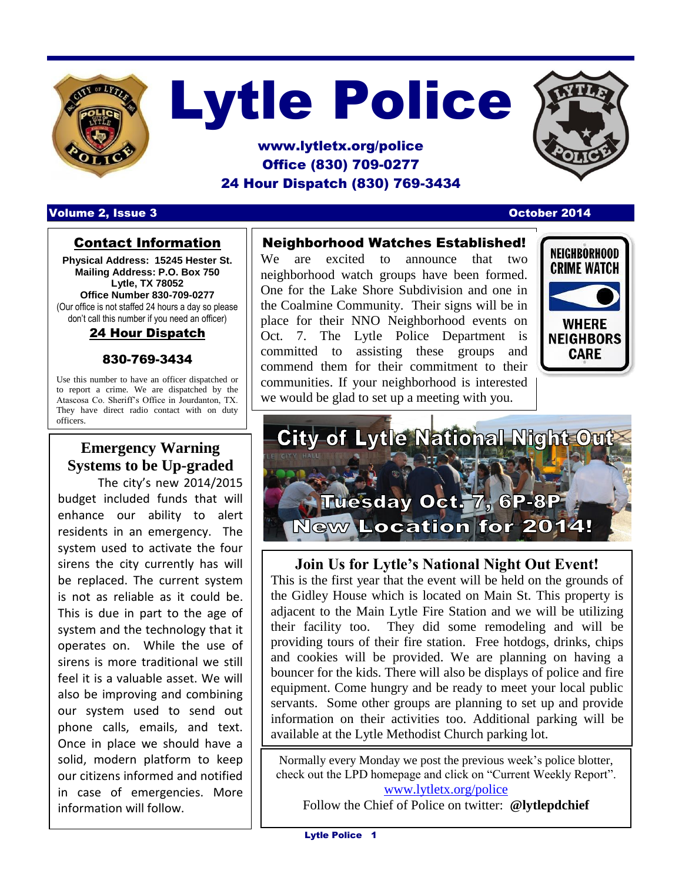

# Lytle Police

# www.lytletx.org/police Office (830) 709-0277 24 Hour Dispatch (830) 769-3434



#### Volume 2, Issue 3 October 2014

### Contact Information

**Physical Address: 15245 Hester St. Mailing Address: P.O. Box 750 Lytle, TX 78052 Office Number 830-709-0277** (Our office is not staffed 24 hours a day so please don't call this number if you need an officer)

### 24 Hour Dispatch

#### 830-769-3434

Use this number to have an officer dispatched or to report a crime. We are dispatched by the Atascosa Co. Sheriff's Office in Jourdanton, TX. They have direct radio contact with on duty officers.

# **Emergency Warning Systems to be Up-graded**

The city's new 2014/2015 budget included funds that will enhance our ability to alert residents in an emergency. The system used to activate the four sirens the city currently has will be replaced. The current system is not as reliable as it could be. This is due in part to the age of system and the technology that it operates on. While the use of sirens is more traditional we still feel it is a valuable asset. We will also be improving and combining our system used to send out phone calls, emails, and text. Once in place we should have a solid, modern platform to keep our citizens informed and notified in case of emergencies. More information will follow.

## Neighborhood Watches Established!

We are excited to announce that two neighborhood watch groups have been formed. One for the Lake Shore Subdivision and one in the Coalmine Community. Their signs will be in place for their NNO Neighborhood events on Oct. 7. The Lytle Police Department is committed to assisting these groups and commend them for their commitment to their communities. If your neighborhood is interested we would be glad to set up a meeting with you.





## **Join Us for Lytle's National Night Out Event!**

This is the first year that the event will be held on the grounds of the Gidley House which is located on Main St. This property is adjacent to the Main Lytle Fire Station and we will be utilizing their facility too. They did some remodeling and will be providing tours of their fire station. Free hotdogs, drinks, chips and cookies will be provided. We are planning on having a bouncer for the kids. There will also be displays of police and fire equipment. Come hungry and be ready to meet your local public servants. Some other groups are planning to set up and provide information on their activities too. Additional parking will be available at the Lytle Methodist Church parking lot.

Normally every Monday we post the previous week's police blotter, check out the LPD homepage and click on "Current Weekly Report". [www.lytletx.org/police](http://www.lytletx.org/police)

Follow the Chief of Police on twitter: **@lytlepdchief**